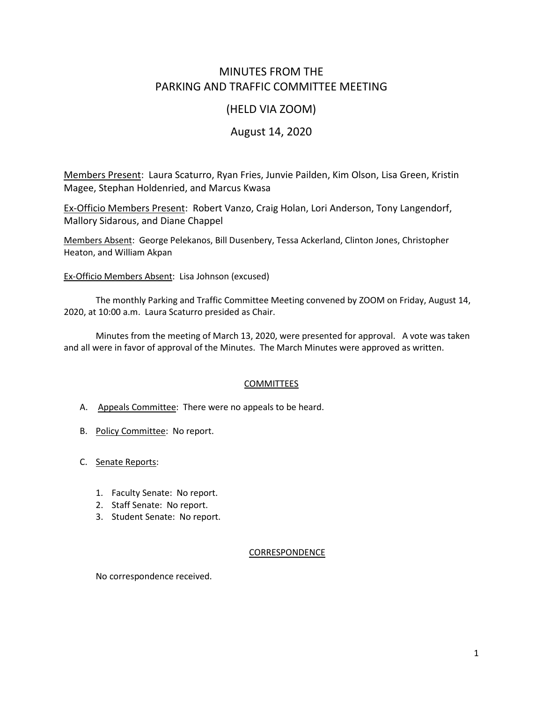# MINUTES FROM THE PARKING AND TRAFFIC COMMITTEE MEETING

## (HELD VIA ZOOM)

# August 14, 2020

Members Present: Laura Scaturro, Ryan Fries, Junvie Pailden, Kim Olson, Lisa Green, Kristin Magee, Stephan Holdenried, and Marcus Kwasa

Ex-Officio Members Present: Robert Vanzo, Craig Holan, Lori Anderson, Tony Langendorf, Mallory Sidarous, and Diane Chappel

Members Absent: George Pelekanos, Bill Dusenbery, Tessa Ackerland, Clinton Jones, Christopher Heaton, and William Akpan

Ex-Officio Members Absent: Lisa Johnson (excused)

The monthly Parking and Traffic Committee Meeting convened by ZOOM on Friday, August 14, 2020, at 10:00 a.m. Laura Scaturro presided as Chair.

Minutes from the meeting of March 13, 2020, were presented for approval. A vote was taken and all were in favor of approval of the Minutes. The March Minutes were approved as written.

### **COMMITTEES**

- A. Appeals Committee: There were no appeals to be heard.
- B. Policy Committee: No report.
- C. Senate Reports:
	- 1. Faculty Senate: No report.
	- 2. Staff Senate: No report.
	- 3. Student Senate: No report.

### CORRESPONDENCE

No correspondence received.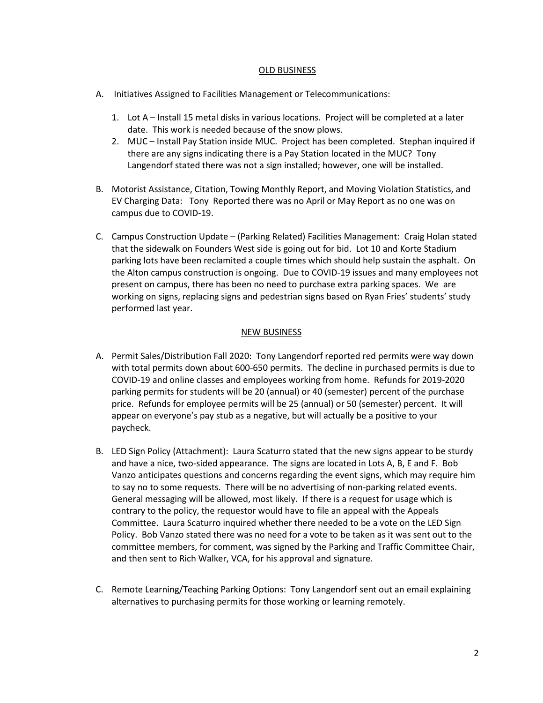#### OLD BUSINESS

- A. Initiatives Assigned to Facilities Management or Telecommunications:
	- 1. Lot A Install 15 metal disks in various locations. Project will be completed at a later date. This work is needed because of the snow plows.
	- 2. MUC Install Pay Station inside MUC. Project has been completed. Stephan inquired if there are any signs indicating there is a Pay Station located in the MUC? Tony Langendorf stated there was not a sign installed; however, one will be installed.
- B. Motorist Assistance, Citation, Towing Monthly Report, and Moving Violation Statistics, and EV Charging Data: Tony Reported there was no April or May Report as no one was on campus due to COVID-19.
- C. Campus Construction Update (Parking Related) Facilities Management: Craig Holan stated that the sidewalk on Founders West side is going out for bid. Lot 10 and Korte Stadium parking lots have been reclamited a couple times which should help sustain the asphalt. On the Alton campus construction is ongoing. Due to COVID-19 issues and many employees not present on campus, there has been no need to purchase extra parking spaces. We are working on signs, replacing signs and pedestrian signs based on Ryan Fries' students' study performed last year.

### NEW BUSINESS

- A. Permit Sales/Distribution Fall 2020: Tony Langendorf reported red permits were way down with total permits down about 600-650 permits. The decline in purchased permits is due to COVID-19 and online classes and employees working from home. Refunds for 2019-2020 parking permits for students will be 20 (annual) or 40 (semester) percent of the purchase price. Refunds for employee permits will be 25 (annual) or 50 (semester) percent. It will appear on everyone's pay stub as a negative, but will actually be a positive to your paycheck.
- B. LED Sign Policy (Attachment): Laura Scaturro stated that the new signs appear to be sturdy and have a nice, two-sided appearance. The signs are located in Lots A, B, E and F. Bob Vanzo anticipates questions and concerns regarding the event signs, which may require him to say no to some requests. There will be no advertising of non-parking related events. General messaging will be allowed, most likely. If there is a request for usage which is contrary to the policy, the requestor would have to file an appeal with the Appeals Committee. Laura Scaturro inquired whether there needed to be a vote on the LED Sign Policy. Bob Vanzo stated there was no need for a vote to be taken as it was sent out to the committee members, for comment, was signed by the Parking and Traffic Committee Chair, and then sent to Rich Walker, VCA, for his approval and signature.
- C. Remote Learning/Teaching Parking Options: Tony Langendorf sent out an email explaining alternatives to purchasing permits for those working or learning remotely.